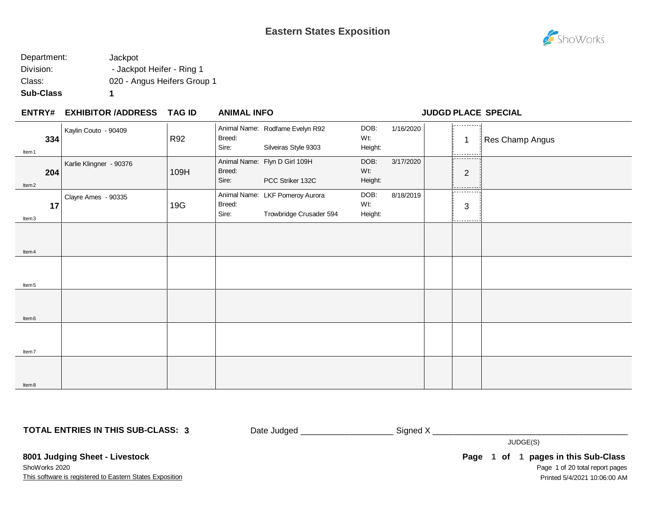

| Department: | Jackpot                     |
|-------------|-----------------------------|
| Division:   | - Jackpot Heifer - Ring 1   |
| Class:      | 020 - Angus Heifers Group 1 |
| Sub-Class   |                             |

#### **EXHIBITOR /ADDRESS TAG ID ENTRY# ANIMAL INFO JUDGD PLACE SPECIAL**

| Item <sub>1</sub> | 334 | Kaylin Couto - 90409    | R92  | Breed:<br>Sire: | Animal Name: Rodfame Evelyn R92<br>Silveiras Style 9303    | DOB:<br>Wt:<br>Height: | 1/16/2020 | <br>$\overline{1}$<br>----------  | Res Champ Angus |
|-------------------|-----|-------------------------|------|-----------------|------------------------------------------------------------|------------------------|-----------|-----------------------------------|-----------------|
| Item <sub>2</sub> | 204 | Karlie Klingner - 90376 | 109H | Breed:<br>Sire: | Animal Name: Flyn D Girl 109H<br>PCC Striker 132C          | DOB:<br>Wt:<br>Height: | 3/17/2020 | ----------<br>$\overline{2}$<br>. |                 |
| Item3             | 17  | Clayre Ames - 90335     | 19G  | Breed:<br>Sire: | Animal Name: LKF Pomeroy Aurora<br>Trowbridge Crusader 594 | DOB:<br>Wt:<br>Height: | 8/18/2019 | .<br>$\sqrt{3}$<br>.              |                 |
| Item 4            |     |                         |      |                 |                                                            |                        |           |                                   |                 |
| Item <sub>5</sub> |     |                         |      |                 |                                                            |                        |           |                                   |                 |
| Item <sub>6</sub> |     |                         |      |                 |                                                            |                        |           |                                   |                 |
| Item7             |     |                         |      |                 |                                                            |                        |           |                                   |                 |
| Item8             |     |                         |      |                 |                                                            |                        |           |                                   |                 |

**TOTAL ENTRIES IN THIS SUB-CLASS: 3**

Date Judged \_\_\_\_\_\_\_\_\_\_\_\_\_\_\_\_\_\_\_\_\_\_\_\_\_\_\_ Signed X \_\_\_\_\_\_\_\_\_\_\_\_\_\_\_\_\_\_\_\_\_\_\_\_\_\_\_\_\_\_\_

JUDGE(S)

This software is registered to Eastern States Exposition **8001 Judging Sheet - Livestock** ShoWorks 2020

Page 1 of 20 total report pages Page 1 of 1 pages in this Sub-Class Printed 5/4/2021 10:06:00 AM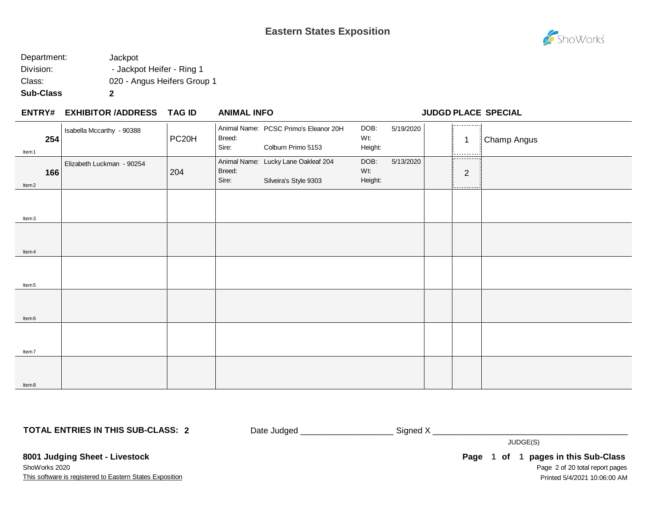

| Sub-Class   | 2                           |
|-------------|-----------------------------|
| Class:      | 020 - Angus Heifers Group 1 |
| Division:   | - Jackpot Heifer - Ring 1   |
| Department: | Jackpot                     |

#### **EXHIBITOR /ADDRESS TAG ID ENTRY# ANIMAL INFO JUDGD PLACE SPECIAL**

| Item 1            | Isabella Mccarthy - 90388<br>254 | PC <sub>20</sub> H | Breed:<br>Sire: | Animal Name: PCSC Primo's Eleanor 20H<br>Colburn Primo 5153  | DOB:<br>Wt:<br>Height: | 5/19/2020 | 1.<br>$\overline{1}$<br>--------- | Champ Angus |
|-------------------|----------------------------------|--------------------|-----------------|--------------------------------------------------------------|------------------------|-----------|-----------------------------------|-------------|
| ltem <sub>2</sub> | Elizabeth Luckman - 90254<br>166 | 204                | Breed:<br>Sire: | Animal Name: Lucky Lane Oakleaf 204<br>Silveira's Style 9303 | DOB:<br>Wt:<br>Height: | 5/13/2020 | .<br>$\overline{2}$               |             |
|                   |                                  |                    |                 |                                                              |                        |           | .                                 |             |
| Item3             |                                  |                    |                 |                                                              |                        |           |                                   |             |
| ltem 4            |                                  |                    |                 |                                                              |                        |           |                                   |             |
|                   |                                  |                    |                 |                                                              |                        |           |                                   |             |
| Item <sub>5</sub> |                                  |                    |                 |                                                              |                        |           |                                   |             |
|                   |                                  |                    |                 |                                                              |                        |           |                                   |             |
| ltem <sub>6</sub> |                                  |                    |                 |                                                              |                        |           |                                   |             |
|                   |                                  |                    |                 |                                                              |                        |           |                                   |             |
| Item7             |                                  |                    |                 |                                                              |                        |           |                                   |             |
| ltem 8            |                                  |                    |                 |                                                              |                        |           |                                   |             |

**TOTAL ENTRIES IN THIS SUB-CLASS: 2**

Date Judged \_\_\_\_\_\_\_\_\_\_\_\_\_\_\_\_\_\_\_\_ Signed X \_\_\_\_\_\_\_\_\_\_\_\_\_\_\_\_\_\_\_\_\_\_\_\_\_\_\_\_\_\_\_\_\_\_\_\_\_\_\_\_\_\_

JUDGE(S)

This software is registered to Eastern States Exposition **8001 Judging Sheet - Livestock** ShoWorks 2020

Page 2 of 20 total report pages Page 1 of 1 pages in this Sub-Class Printed 5/4/2021 10:06:00 AM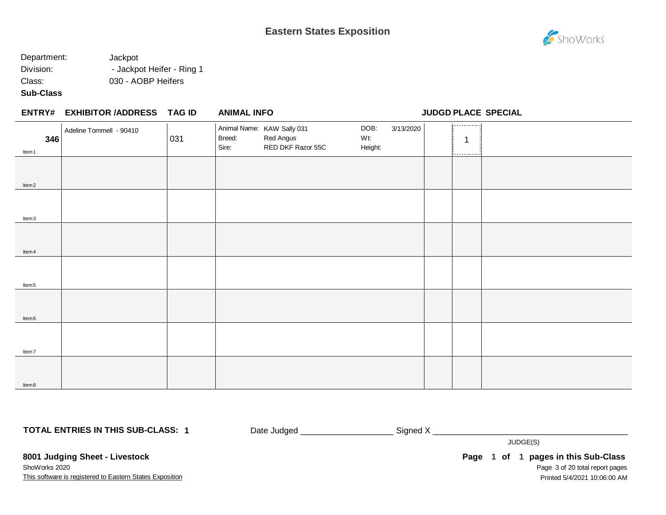# ShoWorks

#### Department: Jackpot Division: **- Jackpot Heifer - Ring 1** Class: 030 - AOBP Heifers

**Sub-Class**

Item8

|                   | ENTRY# EXHIBITOR /ADDRESS TAG ID |     | <b>ANIMAL INFO</b> |                                                              |                        |           |              | JUDGD PLACE SPECIAL |
|-------------------|----------------------------------|-----|--------------------|--------------------------------------------------------------|------------------------|-----------|--------------|---------------------|
| 346<br>Item 1     | Adeline Tommell - 90410          | 031 | Breed:<br>Sire:    | Animal Name: KAW Sally 031<br>Red Angus<br>RED DKF Razor 55C | DOB:<br>Wt:<br>Height: | 3/13/2020 | .<br>-1<br>. |                     |
| ltem <sub>2</sub> |                                  |     |                    |                                                              |                        |           |              |                     |
| Item3             |                                  |     |                    |                                                              |                        |           |              |                     |
| ltem 4            |                                  |     |                    |                                                              |                        |           |              |                     |
| Item <sub>5</sub> |                                  |     |                    |                                                              |                        |           |              |                     |
| Item <sub>6</sub> |                                  |     |                    |                                                              |                        |           |              |                     |
| ltem7             |                                  |     |                    |                                                              |                        |           |              |                     |
|                   |                                  |     |                    |                                                              |                        |           |              |                     |

**TOTAL ENTRIES IN THIS SUB-CLASS: 1**

Date Judged \_\_\_\_\_\_\_\_\_\_\_\_\_\_\_\_\_\_\_\_ Signed X \_\_\_\_\_\_\_\_\_\_\_\_\_\_\_\_\_\_\_\_\_\_\_\_\_\_\_\_\_\_\_\_\_\_\_\_\_\_\_\_\_\_

JUDGE(S)

This software is registered to Eastern States Exposition **8001 Judging Sheet - Livestock** ShoWorks 2020

Page 3 of 20 total report pages Page 1 of 1 pages in this Sub-Class Printed 5/4/2021 10:06:00 AM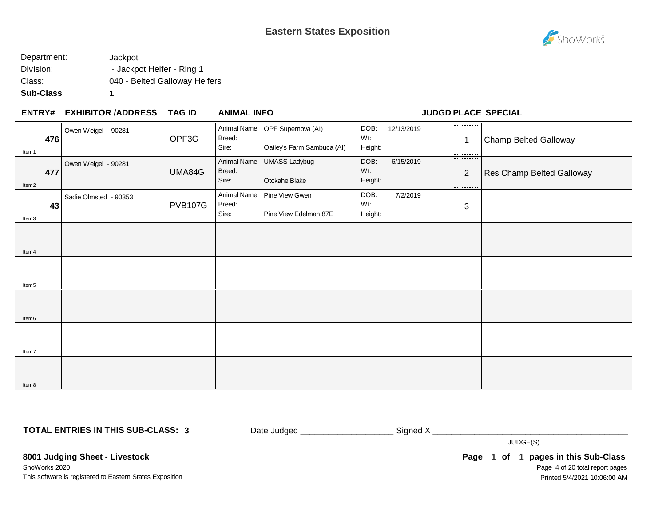

| Department: | Jackpot                       |
|-------------|-------------------------------|
| Division:   | - Jackpot Heifer - Ring 1     |
| Class:      | 040 - Belted Galloway Heifers |
| Sub-Class   |                               |

#### **EXHIBITOR /ADDRESS TAG ID ENTRY# ANIMAL INFO JUDGD PLACE SPECIAL**

| 476<br>Item 1            | Owen Weigel - 90281         | OPF3G          | Breed:<br>Sire: | Animal Name: OPF Supernova (AI)<br>Oatley's Farm Sambuca (AI) | DOB:<br>Wt:<br>Height: | 12/13/2019 | 1.<br>1                    | Champ Belted Galloway     |
|--------------------------|-----------------------------|----------------|-----------------|---------------------------------------------------------------|------------------------|------------|----------------------------|---------------------------|
| 477<br>Item <sub>2</sub> | Owen Weigel - 90281         | UMA84G         | Breed:<br>Sire: | Animal Name: UMASS Ladybug<br>Otokahe Blake                   | DOB:<br>Wt:<br>Height: | 6/15/2019  | ----------<br>2<br>.       | Res Champ Belted Galloway |
| Item3                    | Sadie Olmsted - 90353<br>43 | <b>PVB107G</b> | Breed:<br>Sire: | Animal Name: Pine View Gwen<br>Pine View Edelman 87E          | DOB:<br>Wt:<br>Height: | 7/2/2019   | .<br>$\sqrt{3}$<br>------- |                           |
| Item 4                   |                             |                |                 |                                                               |                        |            |                            |                           |
| Item <sub>5</sub>        |                             |                |                 |                                                               |                        |            |                            |                           |
| Item <sub>6</sub>        |                             |                |                 |                                                               |                        |            |                            |                           |
| Item7                    |                             |                |                 |                                                               |                        |            |                            |                           |
| Item8                    |                             |                |                 |                                                               |                        |            |                            |                           |

**TOTAL ENTRIES IN THIS SUB-CLASS: 3**

Date Judged \_\_\_\_\_\_\_\_\_\_\_\_\_\_\_\_\_\_\_\_\_\_\_\_\_\_\_ Signed X \_\_\_\_\_\_\_\_\_\_\_\_\_\_\_\_\_\_\_\_\_\_\_\_\_\_\_\_\_\_\_

JUDGE(S)

This software is registered to Eastern States Exposition **8001 Judging Sheet - Livestock** ShoWorks 2020

Page 4 of 20 total report pages Page 1 of 1 pages in this Sub-Class Printed 5/4/2021 10:06:00 AM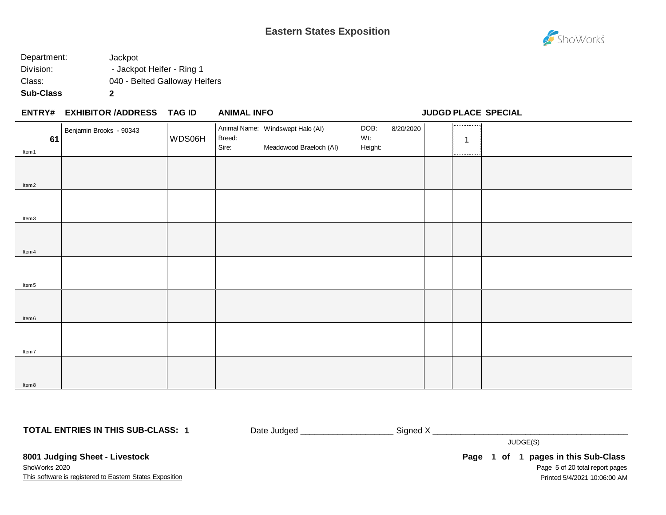

| Sub-Class   | 2                             |
|-------------|-------------------------------|
| Class:      | 040 - Belted Galloway Heifers |
| Division:   | - Jackpot Heifer - Ring 1     |
| Department: | Jackpot                       |

#### **EXHIBITOR /ADDRESS TAG ID ENTRY# ANIMAL INFO JUDGD PLACE SPECIAL**

| 61                | Benjamin Brooks - 90343 | WDS06H | Breed:<br>Sire: | Animal Name: Windswept Halo (AI)<br>Meadowood Braeloch (AI) | DOB:<br>Wt:<br>Height: | 8/20/2020 | اردددددد درا<br>1 |  |
|-------------------|-------------------------|--------|-----------------|-------------------------------------------------------------|------------------------|-----------|-------------------|--|
| Item 1            |                         |        |                 |                                                             |                        |           | ----------        |  |
|                   |                         |        |                 |                                                             |                        |           |                   |  |
| Item <sub>2</sub> |                         |        |                 |                                                             |                        |           |                   |  |
|                   |                         |        |                 |                                                             |                        |           |                   |  |
| Item3             |                         |        |                 |                                                             |                        |           |                   |  |
|                   |                         |        |                 |                                                             |                        |           |                   |  |
| Item 4            |                         |        |                 |                                                             |                        |           |                   |  |
|                   |                         |        |                 |                                                             |                        |           |                   |  |
| Item <sub>5</sub> |                         |        |                 |                                                             |                        |           |                   |  |
| Item <sub>6</sub> |                         |        |                 |                                                             |                        |           |                   |  |
| Item7             |                         |        |                 |                                                             |                        |           |                   |  |
|                   |                         |        |                 |                                                             |                        |           |                   |  |
| ltem 8            |                         |        |                 |                                                             |                        |           |                   |  |

**TOTAL ENTRIES IN THIS SUB-CLASS: 1**

Date Judged \_\_\_\_\_\_\_\_\_\_\_\_\_\_\_\_\_\_\_\_\_\_\_\_\_\_\_\_Signed X \_\_\_\_\_\_\_\_\_\_\_\_\_\_\_\_\_\_\_\_\_\_\_\_\_\_\_\_\_\_\_

JUDGE(S)

This software is registered to Eastern States Exposition **8001 Judging Sheet - Livestock** ShoWorks 2020

Page 5 of 20 total report pages Page 1 of 1 pages in this Sub-Class Printed 5/4/2021 10:06:00 AM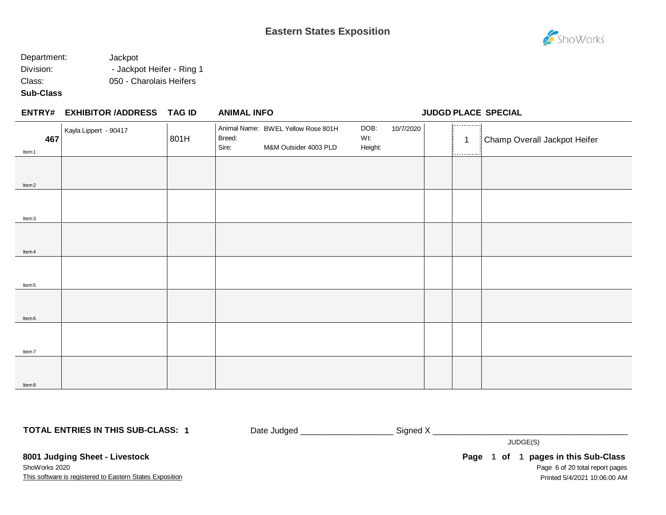

#### Department: Jackpot Division: - Jackpot Heifer - Ring 1 Class: 050 - Charolais Heifers

**Sub-Class**

Item6

Item7

Item8

#### **EXHIBITOR /ADDRESS TAG ID ENTRY# ANIMAL INFO JUDGD PLACE SPECIAL** . . . . . . . . . . . . Animal Name: BWEL Yellow Rose 801H DOB: 10/7/2020 Kayla Lippert - 90417 Breed: Wt: **467** 1 Champ Overall Jackpot Heifer<br>Sire: M&M Outsider 4003 PLD Height: Height: 1 Champ Overall Jackpot Heifer 801H M&M Outsider 4003 PLD Height: Item1 Item2 Item3 Item4 Item5

**TOTAL ENTRIES IN THIS SUB-CLASS: 1**

Date Judged \_\_\_\_\_\_\_\_\_\_\_\_\_\_\_\_\_\_\_\_\_\_\_\_\_\_\_\_\_\_Signed X \_\_\_\_\_\_\_\_\_\_\_\_\_\_\_\_\_\_\_\_\_\_\_\_\_\_\_\_\_

JUDGE(S)

This software is registered to Eastern States Exposition **8001 Judging Sheet - Livestock** ShoWorks 2020

Page 6 of 20 total report pages Page 1 of 1 pages in this Sub-Class Printed 5/4/2021 10:06:00 AM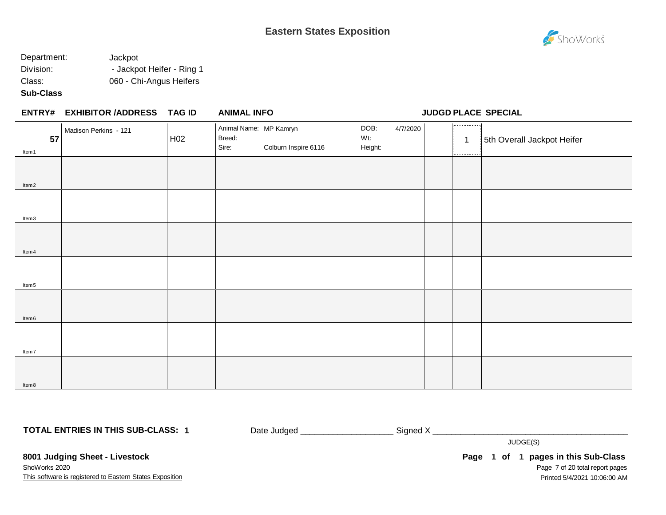# ShoWorks

### Department: Jackpot Division: - Jackpot Heifer - Ring 1 Class: 060 - Chi-Angus Heifers

**Sub-Class**

|                   | <b>ENTRY# EXHIBITOR /ADDRESS</b> | TAG ID          | <b>ANIMAL INFO</b>                        |                      |                        |          |                                 | <b>JUDGD PLACE SPECIAL</b> |
|-------------------|----------------------------------|-----------------|-------------------------------------------|----------------------|------------------------|----------|---------------------------------|----------------------------|
| 57<br>Item 1      | Madison Perkins - 121            | H <sub>02</sub> | Animal Name: MP Kamryn<br>Breed:<br>Sire: | Colburn Inspire 6116 | DOB:<br>Wt:<br>Height: | 4/7/2020 | 1,<br>$\mathbf 1$<br>---------- | 5th Overall Jackpot Heifer |
| ltem <sub>2</sub> |                                  |                 |                                           |                      |                        |          |                                 |                            |
| ltem3             |                                  |                 |                                           |                      |                        |          |                                 |                            |
| ltem 4            |                                  |                 |                                           |                      |                        |          |                                 |                            |
| ltem <sub>5</sub> |                                  |                 |                                           |                      |                        |          |                                 |                            |
| ltem <sub>6</sub> |                                  |                 |                                           |                      |                        |          |                                 |                            |
| Item7             |                                  |                 |                                           |                      |                        |          |                                 |                            |
| ltem 8            |                                  |                 |                                           |                      |                        |          |                                 |                            |

**TOTAL ENTRIES IN THIS SUB-CLASS: 1**

Date Judged \_\_\_\_\_\_\_\_\_\_\_\_\_\_\_\_\_\_\_\_ Signed X \_\_\_\_\_\_\_\_\_\_\_\_\_\_\_\_\_\_\_\_\_\_\_\_\_\_\_\_\_\_\_\_\_\_\_\_\_\_\_\_\_\_

JUDGE(S)

This software is registered to Eastern States Exposition **8001 Judging Sheet - Livestock** ShoWorks 2020

Page 7 of 20 total report pages Page 1 of 1 pages in this Sub-Class Printed 5/4/2021 10:06:00 AM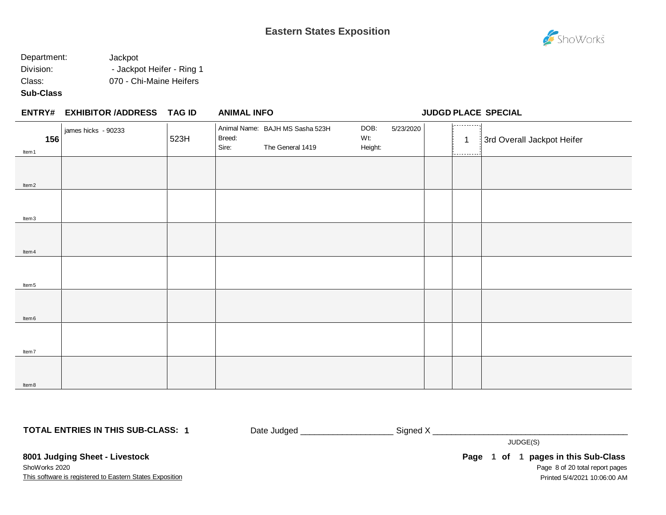

#### Department: Jackpot Division: - Jackpot Heifer - Ring 1 Class: 070 - Chi-Maine Heifers

**Sub-Class**

| <b>ENTRY#</b>            | <b>EXHIBITOR /ADDRESS</b> | TAG ID | <b>ANIMAL INFO</b>                                                     |                                     |                          | <b>JUDGD PLACE SPECIAL</b> |
|--------------------------|---------------------------|--------|------------------------------------------------------------------------|-------------------------------------|--------------------------|----------------------------|
| 156<br>Item <sub>1</sub> | iames hicks - 90233       | 523H   | Animal Name: BAJH MS Sasha 523H<br>Breed:<br>Sire:<br>The General 1419 | DOB:<br>5/23/2020<br>Wt:<br>Height: | ----------<br>---------- | 3rd Overall Jackpot Heifer |
|                          |                           |        |                                                                        |                                     |                          |                            |

| ltem <sub>2</sub> |  |  |  |
|-------------------|--|--|--|
|                   |  |  |  |
|                   |  |  |  |
| Item3             |  |  |  |
|                   |  |  |  |
|                   |  |  |  |
| Item 4            |  |  |  |
|                   |  |  |  |
|                   |  |  |  |
| ltem 5            |  |  |  |
|                   |  |  |  |
|                   |  |  |  |
| ltem 6            |  |  |  |
|                   |  |  |  |
|                   |  |  |  |
| ltem7             |  |  |  |
|                   |  |  |  |
|                   |  |  |  |
| ltem 8            |  |  |  |

**TOTAL ENTRIES IN THIS SUB-CLASS: 1**

Date Judged \_\_\_\_\_\_\_\_\_\_\_\_\_\_\_\_\_\_\_\_ Signed X \_\_\_\_\_\_\_\_\_\_\_\_\_\_\_\_\_\_\_\_\_\_\_\_\_\_\_\_\_\_\_\_\_\_\_\_\_\_\_\_\_\_

JUDGE(S)

**8001 Judging Sheet - Livestock** ShoWorks 2020

This software is registered to Eastern States Exposition

Page 8 of 20 total report pages Page 1 of 1 pages in this Sub-Class Printed 5/4/2021 10:06:00 AM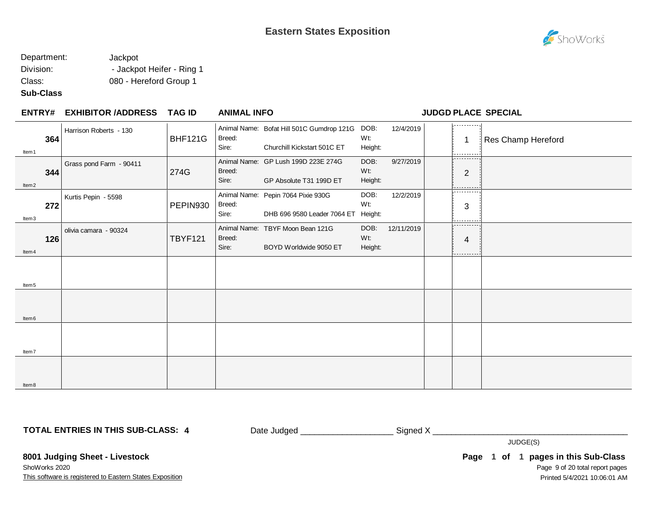

#### Department: Jackpot Division: - Jackpot Heifer - Ring 1 Class: 080 - Hereford Group 1

#### **Sub-Class**

Item7

Item8

#### **EXHIBITOR /ADDRESS TAG ID ENTRY# ANIMAL INFO JUDGD PLACE SPECIAL** . . . . . . . . . . . Animal Name: Bofat Hill 501C Gumdrop 121G DOB: DOB: 12/4/2019 Harrison Roberts - 130 Wt: **364 1 BHE121G** Breed: **1 Res** Champ Hereford **1 Res Champ Hereford 1 Res** Champ Hereford BHF121G Breed: Churchill Kickstart 501C ET Height: Item1 Animal Name: GP Lush 199D 223E 274G DOB: 9/27/2019 Grass pond Farm - 90411 Breed: Wt: 274G **344** 274G Breed: Wt: William Management Proposed: 2 Sire: GP Absolute T31 199D ET Height: Item2 ————— Animal Name: Pepin 7064 Pixie 930G DOB: 12/2/2019 Kurtis Pepin - 5598 PEPIN930 Breed: Wt: **272** 3 Sire: DHB 696 9580 Leader 7064 ET Height: Item3  $- - - - -$ Animal Name: TBYF Moon Bean 121G DOB: 12/11/2019 olivia camara - 90324 Wt: TBYF121 Breed: **126** 4 Sire: BOYD Worldwide 9050 ET Height: Item4 Item5 Item6

**TOTAL ENTRIES IN THIS SUB-CLASS: 4**

Date Judged \_\_\_\_\_\_\_\_\_\_\_\_\_\_\_\_\_\_\_\_\_\_\_\_\_\_\_\_\_Signed X \_\_\_\_\_\_\_\_\_\_\_\_\_\_\_\_\_\_\_\_\_\_\_\_\_\_\_\_\_\_

JUDGE(S)

**8001 Judging Sheet - Livestock** ShoWorks 2020

This software is registered to Eastern States Exposition

Page 9 of 20 total report pages **Page 1 of 1 pages in this Sub-Class** Printed 5/4/2021 10:06:01 AM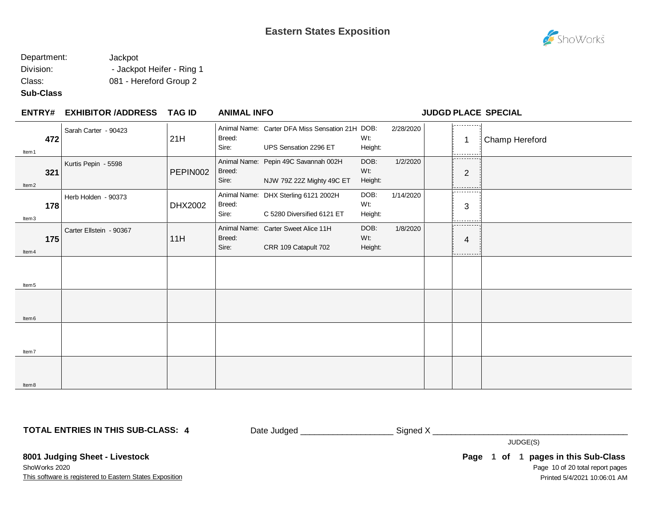

#### Department: Jackpot Division: - Jackpot Heifer - Ring 1 Class: 081 - Hereford Group 2

#### **Sub-Class**

Item8

| <b>ENTRY#</b>            | <b>EXHIBITOR /ADDRESS</b> | <b>TAG ID</b> | <b>ANIMAL INFO</b> |                                                                          |                        |           |                          | <b>JUDGD PLACE SPECIAL</b> |
|--------------------------|---------------------------|---------------|--------------------|--------------------------------------------------------------------------|------------------------|-----------|--------------------------|----------------------------|
| 472<br>ltem 1            | Sarah Carter - 90423      | 21H           | Breed:<br>Sire:    | Animal Name: Carter DFA Miss Sensation 21H DOB:<br>UPS Sensation 2296 ET | Wt:<br>Height:         | 2/28/2020 | .<br>1                   | Champ Hereford             |
| 321<br>ltem <sub>2</sub> | Kurtis Pepin - 5598       | PEPIN002      | Breed:<br>Sire:    | Animal Name: Pepin 49C Savannah 002H<br>NJW 79Z 22Z Mighty 49C ET        | DOB:<br>Wt:<br>Height: | 1/2/2020  | .<br>$\overline{2}$<br>. |                            |
| 178<br>Item3             | Herb Holden - 90373       | DHX2002       | Breed:<br>Sire:    | Animal Name: DHX Sterling 6121 2002H<br>C 5280 Diversified 6121 ET       | DOB:<br>Wt:<br>Height: | 1/14/2020 | --------<br>3            |                            |
| 175<br>ltem 4            | Carter Ellstein - 90367   | 11H           | Breed:<br>Sire:    | Animal Name: Carter Sweet Alice 11H<br>CRR 109 Catapult 702              | DOB:<br>Wt:<br>Height: | 1/8/2020  | -----<br>4               |                            |
| Item <sub>5</sub>        |                           |               |                    |                                                                          |                        |           |                          |                            |
| Item <sub>6</sub>        |                           |               |                    |                                                                          |                        |           |                          |                            |
| Item7                    |                           |               |                    |                                                                          |                        |           |                          |                            |
|                          |                           |               |                    |                                                                          |                        |           |                          |                            |

**TOTAL ENTRIES IN THIS SUB-CLASS: 4**

Date Judged \_\_\_\_\_\_\_\_\_\_\_\_\_\_\_\_\_\_\_\_\_\_\_\_\_\_\_\_\_\_\_Signed X \_\_\_\_\_\_\_\_\_\_\_\_\_\_\_\_\_\_\_\_\_\_\_\_\_\_\_\_

JUDGE(S)

This software is registered to Eastern States Exposition **8001 Judging Sheet - Livestock** ShoWorks 2020

Page 10 of 20 total report pages Page 1 of 1 pages in this Sub-Class Printed 5/4/2021 10:06:01 AM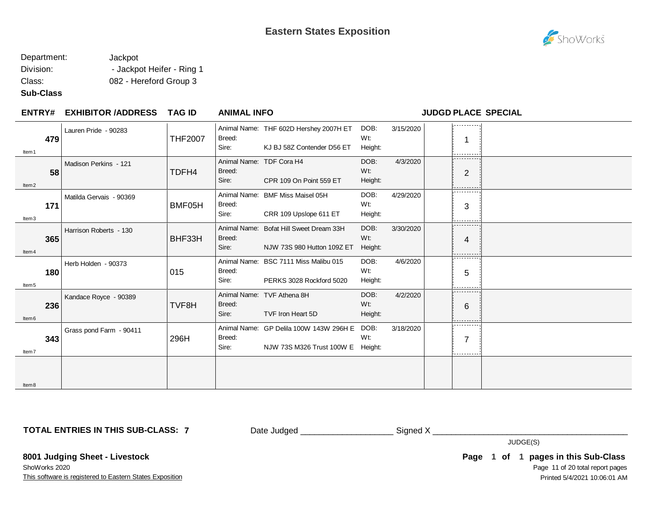

#### Department: Jackpot Division: - Jackpot Heifer - Ring 1 Class: 082 - Hereford Group 3

#### **Sub-Class**

#### **EXHIBITOR /ADDRESS TAG ID ENTRY# ANIMAL INFO JUDGD PLACE SPECIAL** . . . . . . . . . . . Animal Name: THF 602D Hershey 2007H ET DOB: 3/15/2020 Lauren Pride - 90283 Wt: THF2007 Breed: **479** 1 Sire: KJ BJ 58Z Contender D56 ET Height: Item1 Animal Name: TDF Cora H4 DOB: 4/3/2020 Madison Perkins - 121 **58** 2 TDFH4 Breed: Wt: Sire: CPR 109 On Point 559 ET Height: Item2

|                         | TDFH4                          | Breed:          |                            | W <sub>t</sub> :                                                                                                                                                                                                         |                | $\overline{2}$                            |
|-------------------------|--------------------------------|-----------------|----------------------------|--------------------------------------------------------------------------------------------------------------------------------------------------------------------------------------------------------------------------|----------------|-------------------------------------------|
|                         |                                |                 |                            |                                                                                                                                                                                                                          |                | .                                         |
| Matilda Gervais - 90369 |                                |                 |                            | DOB:                                                                                                                                                                                                                     | 4/29/2020      | ----------                                |
|                         |                                | Sire:           | CRR 109 Upslope 611 ET     | Height:                                                                                                                                                                                                                  |                | 3<br>--------                             |
| Harrison Roberts - 130  | BHF33H                         | Breed:<br>Sire: | NJW 73S 980 Hutton 109Z ET | DOB:<br>Wt:<br>Height:                                                                                                                                                                                                   | 3/30/2020      | .<br>4<br>. <u>.</u>                      |
| Herb Holden - 90373     | 015                            | Breed:<br>Sire: | PERKS 3028 Rockford 5020   | DOB:<br>Wt:<br>Height:                                                                                                                                                                                                   | 4/6/2020       | .<br>5<br>-----------                     |
| Kandace Royce - 90389   | TVF8H                          | Breed:<br>Sire: | TVF Iron Heart 5D          | DOB:<br>Wt:<br>Height:                                                                                                                                                                                                   | 4/2/2020       | .<br>6<br>.                               |
| Grass pond Farm - 90411 | 296H                           | Breed:<br>Sire: | NJW 73S M326 Trust 100W E  | DOB:<br>Wt:<br>Height:                                                                                                                                                                                                   | 3/18/2020      | ---------<br>$\overline{7}$<br>---------- |
|                         |                                |                 |                            |                                                                                                                                                                                                                          |                |                                           |
| 171                     | 58<br>365<br>180<br>236<br>343 | BMF05H          | Sire:<br>Breed:            | CPR 109 On Point 559 ET<br>Animal Name: BMF Miss Maisel 05H<br>Animal Name: Bofat Hill Sweet Dream 33H<br>Animal Name: BSC 7111 Miss Malibu 015<br>Animal Name: TVF Athena 8H<br>Animal Name: GP Delila 100W 143W 296H E | Height:<br>Wt: |                                           |

**TOTAL ENTRIES IN THIS SUB-CLASS: 7**

Date Judged \_\_\_\_\_\_\_\_\_\_\_\_\_\_\_\_\_\_\_\_ Signed X \_\_\_\_\_\_\_\_\_\_\_\_\_\_\_\_\_\_\_\_\_\_\_\_\_\_\_\_\_\_\_\_\_\_\_\_\_\_\_\_\_\_

JUDGE(S)

**8001 Judging Sheet - Livestock** ShoWorks 2020

This software is registered to Eastern States Exposition

Page 11 of 20 total report pages **Page 1 of 1 pages in this Sub-Class** Printed 5/4/2021 10:06:01 AM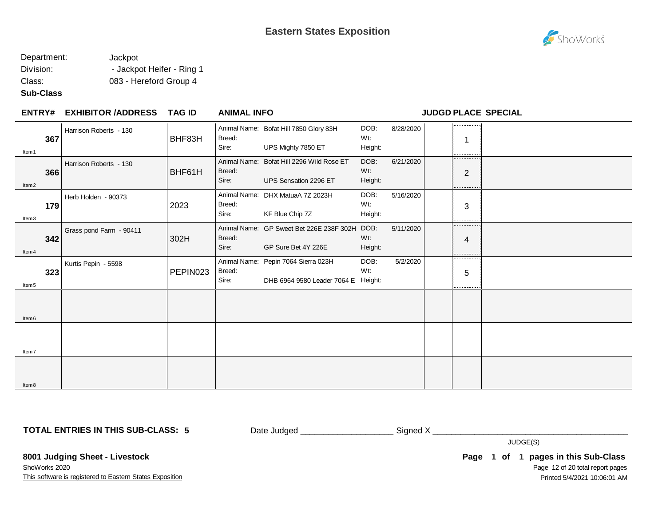

#### Department: Jackpot Division: - Jackpot Heifer - Ring 1 Class: 083 - Hereford Group 4

#### **Sub-Class**

Item8

| <b>ENTRY#</b>            | <b>EXHIBITOR /ADDRESS</b> | TAG ID   | <b>ANIMAL INFO</b>              |                                                                            |                        |           | <b>JUDGD PLACE SPECIAL</b> |  |
|--------------------------|---------------------------|----------|---------------------------------|----------------------------------------------------------------------------|------------------------|-----------|----------------------------|--|
| 367<br>Item 1            | Harrison Roberts - 130    | BHF83H   | Breed:<br>Sire:                 | Animal Name: Bofat Hill 7850 Glory 83H<br>UPS Mighty 7850 ET               | DOB:<br>Wt:<br>Height: | 8/28/2020 | ---------                  |  |
| 366<br>ltem <sub>2</sub> | Harrison Roberts - 130    | BHF61H   | Animal Name:<br>Breed:<br>Sire: | Bofat Hill 2296 Wild Rose ET<br>UPS Sensation 2296 ET                      | DOB:<br>Wt:<br>Height: | 6/21/2020 | .<br>$\overline{2}$        |  |
| 179<br>Item3             | Herb Holden - 90373       | 2023     | Animal Name:<br>Breed:<br>Sire: | DHX MatuaA 7Z 2023H<br>KF Blue Chip 7Z                                     | DOB:<br>Wt:<br>Height: | 5/16/2020 | ---------<br>3             |  |
| 342<br>ltem 4            | Grass pond Farm - 90411   | 302H     | Breed:<br>Sire:                 | Animal Name: GP Sweet Bet 226E 238F 302H DOB:<br>GP Sure Bet 4Y 226E       | Wt:<br>Height:         | 5/11/2020 | .<br>4                     |  |
| 323<br>Item <sub>5</sub> | Kurtis Pepin - 5598       | PEPIN023 | Breed:<br>Sire:                 | Animal Name: Pepin 7064 Sierra 023H<br>DHB 6964 9580 Leader 7064 E Height: | DOB:<br>Wt:            | 5/2/2020  | ---------<br>5             |  |
| Item <sub>6</sub>        |                           |          |                                 |                                                                            |                        |           |                            |  |
| Item7                    |                           |          |                                 |                                                                            |                        |           |                            |  |
|                          |                           |          |                                 |                                                                            |                        |           |                            |  |

**TOTAL ENTRIES IN THIS SUB-CLASS: 5**

Date Judged \_\_\_\_\_\_\_\_\_\_\_\_\_\_\_\_\_\_\_\_ Signed X \_\_\_\_\_\_\_\_\_\_\_\_\_\_\_\_\_\_\_\_\_\_\_\_\_\_\_\_\_\_\_\_\_\_\_\_\_\_\_\_\_\_

JUDGE(S)

**8001 Judging Sheet - Livestock** ShoWorks 2020

This software is registered to Eastern States Exposition

Page 12 of 20 total report pages **Page 1 of 1 pages in this Sub-Class** Printed 5/4/2021 10:06:01 AM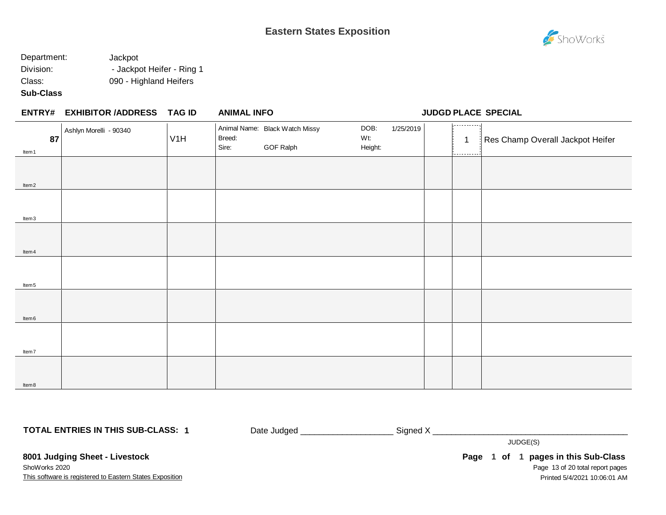

**ENTRY# ANIMAL INFO JUDGD PLACE SPECIAL**

#### Department: Jackpot Division: **- Jackpot Heifer - Ring 1** Class: 090 - Highland Heifers

#### **Sub-Class**

| <b>ENTRY# EXHIBITOR /ADDRESS</b> | TAG ID | <b>ANIMAL INFO</b> |  |
|----------------------------------|--------|--------------------|--|
|                                  |        |                    |  |

## . . . . . . . . . . . . Animal Name: Black Watch Missy DOB: 1/25/2019 Ashlyn Morelli - 90340 Breed: Wt: **87** 1 **1 1** Res Champ Overall Jackpot Heifer **1** Breed: **1 1** Res Champ Overall Jackpot Heifer V1H GOF Ralph Height: Item1 Item2 Item3 Item4 Item5 Item6 Item7 Item8

**TOTAL ENTRIES IN THIS SUB-CLASS: 1**

Date Judged \_\_\_\_\_\_\_\_\_\_\_\_\_\_\_\_\_\_\_\_\_\_\_\_\_\_\_\_\_\_Signed X \_\_\_\_\_\_\_\_\_\_\_\_\_\_\_\_\_\_\_\_\_\_\_\_\_\_\_\_\_

JUDGE(S)

This software is registered to Eastern States Exposition **8001 Judging Sheet - Livestock** ShoWorks 2020

Page 13 of 20 total report pages **Page 1 of 1 pages in this Sub-Class** Printed 5/4/2021 10:06:01 AM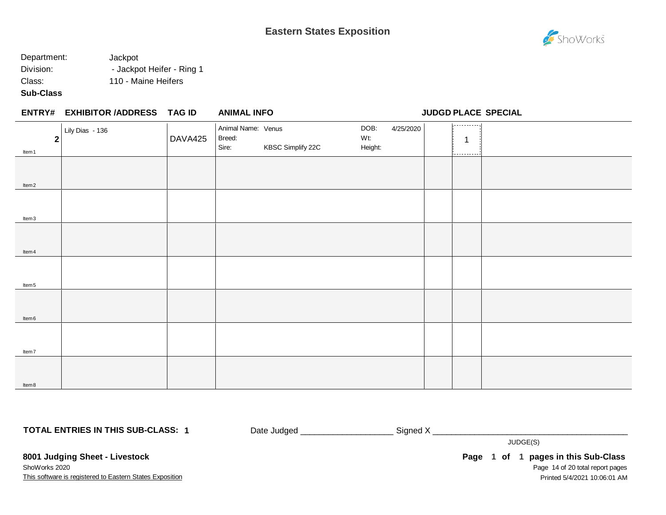# ShoWorks

#### Department: Jackpot Division:  $-$  Jackpot Heifer - Ring 1 Class: 110 - Maine Heifers

#### **Sub-Class**

|                       | ENTRY# EXHIBITOR /ADDRESS TAG ID |         | <b>ANIMAL INFO</b>                    |                   |                                     |                                  | <b>JUDGD PLACE SPECIAL</b> |
|-----------------------|----------------------------------|---------|---------------------------------------|-------------------|-------------------------------------|----------------------------------|----------------------------|
| $\mathbf 2$<br>Item 1 | Lily Dias - 136                  | DAVA425 | Animal Name: Venus<br>Breed:<br>Sire: | KBSC Simplify 22C | DOB:<br>4/25/2020<br>Wt:<br>Height: | -----------<br>-1<br>----------- |                            |
| Item <sub>2</sub>     |                                  |         |                                       |                   |                                     |                                  |                            |
| Item3                 |                                  |         |                                       |                   |                                     |                                  |                            |
| ltem 4                |                                  |         |                                       |                   |                                     |                                  |                            |
| Item <sub>5</sub>     |                                  |         |                                       |                   |                                     |                                  |                            |
| Item <sub>6</sub>     |                                  |         |                                       |                   |                                     |                                  |                            |
| ltem7                 |                                  |         |                                       |                   |                                     |                                  |                            |
| ltem 8                |                                  |         |                                       |                   |                                     |                                  |                            |

**TOTAL ENTRIES IN THIS SUB-CLASS: 1**

Date Judged \_\_\_\_\_\_\_\_\_\_\_\_\_\_\_\_\_\_\_\_ Signed X \_\_\_\_\_\_\_\_\_\_\_\_\_\_\_\_\_\_\_\_\_\_\_\_\_\_\_\_\_\_\_\_\_\_\_\_\_\_\_\_\_\_

JUDGE(S)

This software is registered to Eastern States Exposition **8001 Judging Sheet - Livestock** ShoWorks 2020

Page 14 of 20 total report pages **Page 1 of 1 pages in this Sub-Class** Printed 5/4/2021 10:06:01 AM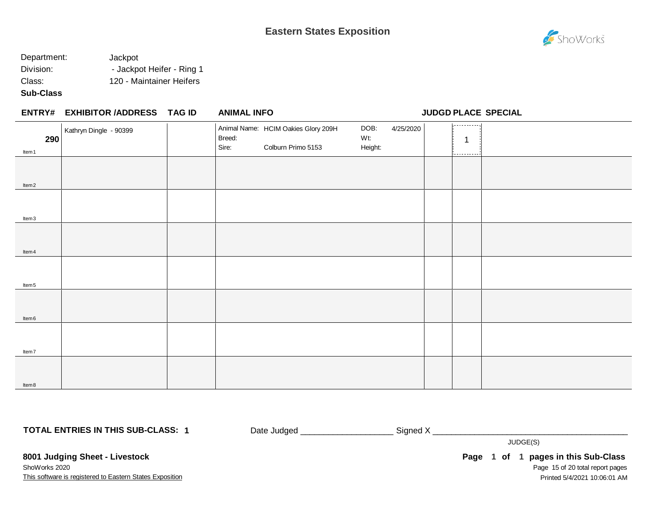

### Department: Jackpot Division: **- Jackpot Heifer - Ring 1** Class: 120 - Maintainer Heifers

#### **Sub-Class**

| <b>ENTRY# EXHIBITOR /ADDRESS</b><br>TAG ID | <b>ANIMAL INFO</b> |
|--------------------------------------------|--------------------|
|--------------------------------------------|--------------------|

**ENTRY# ANIMAL INFO JUDGD PLACE SPECIAL**

| 290               | Kathryn Dingle - 90399 | Animal Name: HCIM Oakies Glory 209H<br>Breed: | 4/25/2020<br>DOB:<br>Wt: | $[x - 1 - 1 - 1 - 1 - 1]$<br>$\mathbf 1$ |  |
|-------------------|------------------------|-----------------------------------------------|--------------------------|------------------------------------------|--|
| Item 1            |                        | Sire:<br>Colburn Primo 5153                   | Height:                  | -----------                              |  |
|                   |                        |                                               |                          |                                          |  |
|                   |                        |                                               |                          |                                          |  |
| Item <sub>2</sub> |                        |                                               |                          |                                          |  |
|                   |                        |                                               |                          |                                          |  |
|                   |                        |                                               |                          |                                          |  |
| Item3             |                        |                                               |                          |                                          |  |
|                   |                        |                                               |                          |                                          |  |
|                   |                        |                                               |                          |                                          |  |
| ltem 4            |                        |                                               |                          |                                          |  |
|                   |                        |                                               |                          |                                          |  |
|                   |                        |                                               |                          |                                          |  |
| ltem <sub>5</sub> |                        |                                               |                          |                                          |  |
|                   |                        |                                               |                          |                                          |  |
|                   |                        |                                               |                          |                                          |  |
| Item <sub>6</sub> |                        |                                               |                          |                                          |  |
|                   |                        |                                               |                          |                                          |  |
|                   |                        |                                               |                          |                                          |  |
| ltem7             |                        |                                               |                          |                                          |  |
|                   |                        |                                               |                          |                                          |  |
|                   |                        |                                               |                          |                                          |  |
| Item 8            |                        |                                               |                          |                                          |  |
|                   |                        |                                               |                          |                                          |  |

**TOTAL ENTRIES IN THIS SUB-CLASS: 1**

Date Judged \_\_\_\_\_\_\_\_\_\_\_\_\_\_\_\_\_\_\_\_\_\_\_\_\_\_\_\_\_ Signed X \_\_\_\_\_\_\_\_\_\_\_\_\_\_\_\_\_\_\_\_\_\_\_\_\_\_\_\_\_\_

JUDGE(S)

This software is registered to Eastern States Exposition **8001 Judging Sheet - Livestock** ShoWorks 2020

Page 15 of 20 total report pages **Page 1 of 1 pages in this Sub-Class** Printed 5/4/2021 10:06:01 AM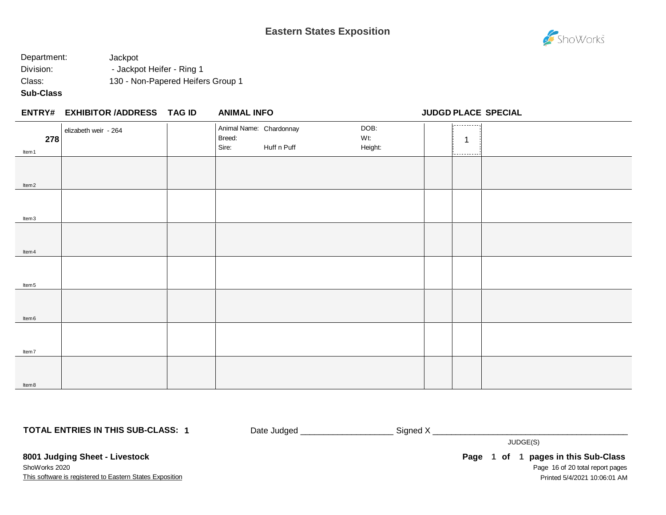

## Department: Jackpot Division: **- Jackpot Heifer - Ring 1** Class: 130 - Non-Papered Heifers Group 1

#### **Sub-Class**

|                   | ENTRY# EXHIBITOR /ADDRESS TAG ID | <b>ANIMAL INFO</b>                         |             |                        |                                 | <b>JUDGD PLACE SPECIAL</b> |
|-------------------|----------------------------------|--------------------------------------------|-------------|------------------------|---------------------------------|----------------------------|
| 278<br>Item 1     | elizabeth weir - 264             | Animal Name: Chardonnay<br>Breed:<br>Sire: | Huff n Puff | DOB:<br>Wt:<br>Height: | 1.<br>$\mathbf 1$<br>---------- |                            |
| ltem <sub>2</sub> |                                  |                                            |             |                        |                                 |                            |
| ltem3             |                                  |                                            |             |                        |                                 |                            |
| ltem 4            |                                  |                                            |             |                        |                                 |                            |
| ltem <sub>5</sub> |                                  |                                            |             |                        |                                 |                            |
| ltem 6            |                                  |                                            |             |                        |                                 |                            |
| Item7             |                                  |                                            |             |                        |                                 |                            |
| ltem 8            |                                  |                                            |             |                        |                                 |                            |

**TOTAL ENTRIES IN THIS SUB-CLASS: 1**

Date Judged \_\_\_\_\_\_\_\_\_\_\_\_\_\_\_\_\_\_\_\_\_\_\_\_\_\_\_\_ Signed X \_\_\_\_\_\_\_\_\_\_\_\_\_\_\_\_\_\_\_\_\_\_\_\_\_\_\_\_\_\_

JUDGE(S)

This software is registered to Eastern States Exposition **8001 Judging Sheet - Livestock** ShoWorks 2020

Page 16 of 20 total report pages **Page 1 of 1 pages in this Sub-Class** Printed 5/4/2021 10:06:01 AM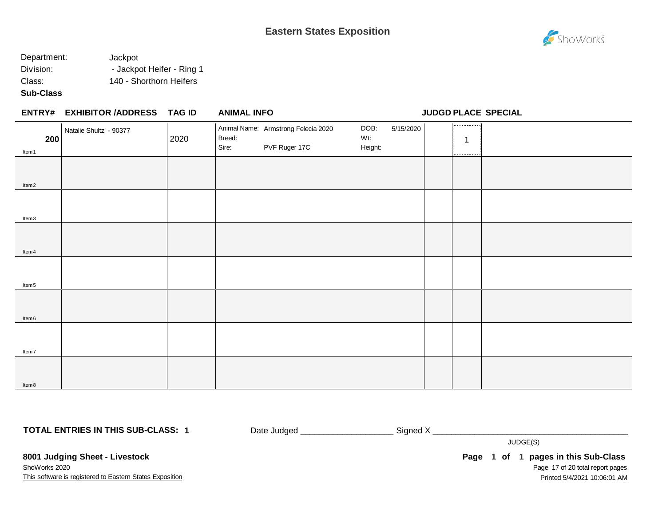

### Department: Jackpot Division: **- Jackpot Heifer - Ring 1** Class: 140 - Shorthorn Heifers

#### **Sub-Class**

Item8

|                   | ENTRY# EXHIBITOR /ADDRESS TAG ID |      | <b>ANIMAL INFO</b>                                                      |                                     | JUDGD PLACE SPECIAL  |  |
|-------------------|----------------------------------|------|-------------------------------------------------------------------------|-------------------------------------|----------------------|--|
| 200<br>Item1      | Natalie Shultz - 90377           | 2020 | Animal Name: Armstrong Felecia 2020<br>Breed:<br>Sire:<br>PVF Ruger 17C | DOB:<br>5/15/2020<br>Wt:<br>Height: | ,<br>1<br>---------- |  |
| Item <sub>2</sub> |                                  |      |                                                                         |                                     |                      |  |
| Item <sub>3</sub> |                                  |      |                                                                         |                                     |                      |  |
| Item 4            |                                  |      |                                                                         |                                     |                      |  |
| Item <sub>5</sub> |                                  |      |                                                                         |                                     |                      |  |
| Item <sub>6</sub> |                                  |      |                                                                         |                                     |                      |  |
| Item7             |                                  |      |                                                                         |                                     |                      |  |
|                   |                                  |      |                                                                         |                                     |                      |  |

**TOTAL ENTRIES IN THIS SUB-CLASS: 1**

Date Judged \_\_\_\_\_\_\_\_\_\_\_\_\_\_\_\_\_\_\_\_ Signed X \_\_\_\_\_\_\_\_\_\_\_\_\_\_\_\_\_\_\_\_\_\_\_\_\_\_\_\_\_\_\_\_\_\_\_\_\_\_\_\_\_\_

JUDGE(S)

This software is registered to Eastern States Exposition **8001 Judging Sheet - Livestock** ShoWorks 2020

Page 17 of 20 total report pages **Page 1 of 1 pages in this Sub-Class** Printed 5/4/2021 10:06:01 AM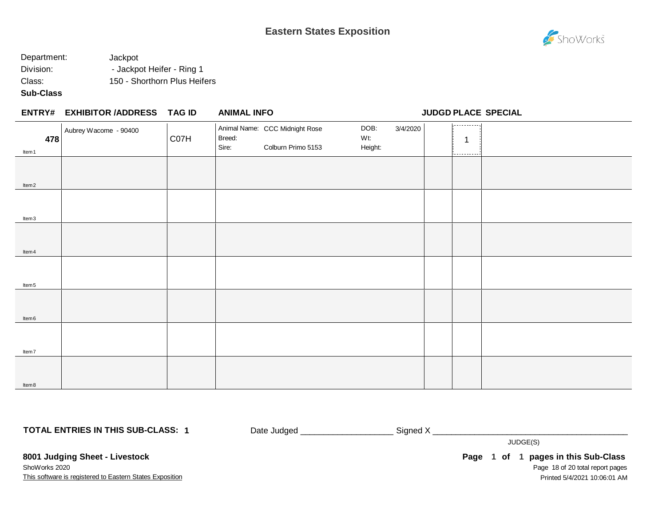

## Department: Jackpot Division: **- Jackpot Heifer - Ring 1** Class: 150 - Shorthorn Plus Heifers

#### **Sub-Class**

|                   | ENTRY# EXHIBITOR /ADDRESS TAG ID |      | <b>ANIMAL INFO</b> |                                                      |                        |          | <b>JUDGD PLACE SPECIAL</b> |  |
|-------------------|----------------------------------|------|--------------------|------------------------------------------------------|------------------------|----------|----------------------------|--|
| 478<br>ltem 1     | Aubrey Wacome - 90400            | C07H | Breed:<br>Sire:    | Animal Name: CCC Midnight Rose<br>Colburn Primo 5153 | DOB:<br>Wt:<br>Height: | 3/4/2020 | ,<br>.                     |  |
| Item <sub>2</sub> |                                  |      |                    |                                                      |                        |          |                            |  |
| Item3             |                                  |      |                    |                                                      |                        |          |                            |  |
| Item 4            |                                  |      |                    |                                                      |                        |          |                            |  |
| Item <sub>5</sub> |                                  |      |                    |                                                      |                        |          |                            |  |
| Item 6            |                                  |      |                    |                                                      |                        |          |                            |  |
| Item7             |                                  |      |                    |                                                      |                        |          |                            |  |
| ltem 8            |                                  |      |                    |                                                      |                        |          |                            |  |

**TOTAL ENTRIES IN THIS SUB-CLASS: 1**

Date Judged \_\_\_\_\_\_\_\_\_\_\_\_\_\_\_\_\_\_\_\_\_\_\_\_\_\_\_Signed X \_\_\_\_\_\_\_\_\_\_\_\_\_\_\_\_\_\_\_\_\_\_\_\_\_\_\_\_\_\_\_\_

JUDGE(S)

This software is registered to Eastern States Exposition **8001 Judging Sheet - Livestock** ShoWorks 2020

Page 18 of 20 total report pages **Page 1 of 1 pages in this Sub-Class** Printed 5/4/2021 10:06:01 AM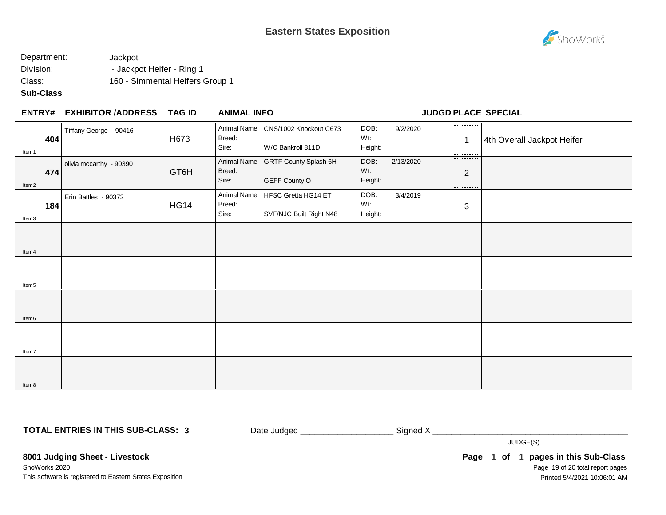

### Department: Jackpot Division: **- Jackpot Heifer - Ring 1** Class: 160 - Simmental Heifers Group 1

#### **Sub-Class**

#### **EXHIBITOR /ADDRESS TAG ID ENTRY# ANIMAL INFO JUDGD PLACE SPECIAL**

| Item 1            | 404 | Tiffany George - 90416  | H673        | Breed:<br>Sire: | Animal Name: CNS/1002 Knockout C673<br>W/C Bankroll 811D    | DOB:<br>Wt:<br>Height: | 9/2/2020  | 1.<br>$\overline{1}$        | 4th Overall Jackpot Heifer |
|-------------------|-----|-------------------------|-------------|-----------------|-------------------------------------------------------------|------------------------|-----------|-----------------------------|----------------------------|
| Item <sub>2</sub> | 474 | olivia mccarthy - 90390 | GT6H        | Breed:<br>Sire: | Animal Name: GRTF County Splash 6H<br>GEFF County O         | DOB:<br>Wt:<br>Height: | 2/13/2020 | ----------<br>2<br>-------- |                            |
| ltem3             | 184 | Erin Battles - 90372    | <b>HG14</b> | Breed:<br>Sire: | Animal Name: HFSC Gretta HG14 ET<br>SVF/NJC Built Right N48 | DOB:<br>Wt:<br>Height: | 3/4/2019  | .<br>$\sqrt{3}$<br>.        |                            |
| Item 4            |     |                         |             |                 |                                                             |                        |           |                             |                            |
| Item <sub>5</sub> |     |                         |             |                 |                                                             |                        |           |                             |                            |
| Item <sub>6</sub> |     |                         |             |                 |                                                             |                        |           |                             |                            |
| Item7             |     |                         |             |                 |                                                             |                        |           |                             |                            |
| Item8             |     |                         |             |                 |                                                             |                        |           |                             |                            |

**TOTAL ENTRIES IN THIS SUB-CLASS: 3**

Date Judged \_\_\_\_\_\_\_\_\_\_\_\_\_\_\_\_\_\_\_\_\_\_\_\_\_\_\_\_\_\_ Signed X \_\_\_\_\_\_\_\_\_\_\_\_\_\_\_\_\_\_\_\_\_\_\_\_\_\_\_\_

JUDGE(S)

This software is registered to Eastern States Exposition **8001 Judging Sheet - Livestock** ShoWorks 2020

Page 19 of 20 total report pages **Page 1 of 1 pages in this Sub-Class** Printed 5/4/2021 10:06:01 AM